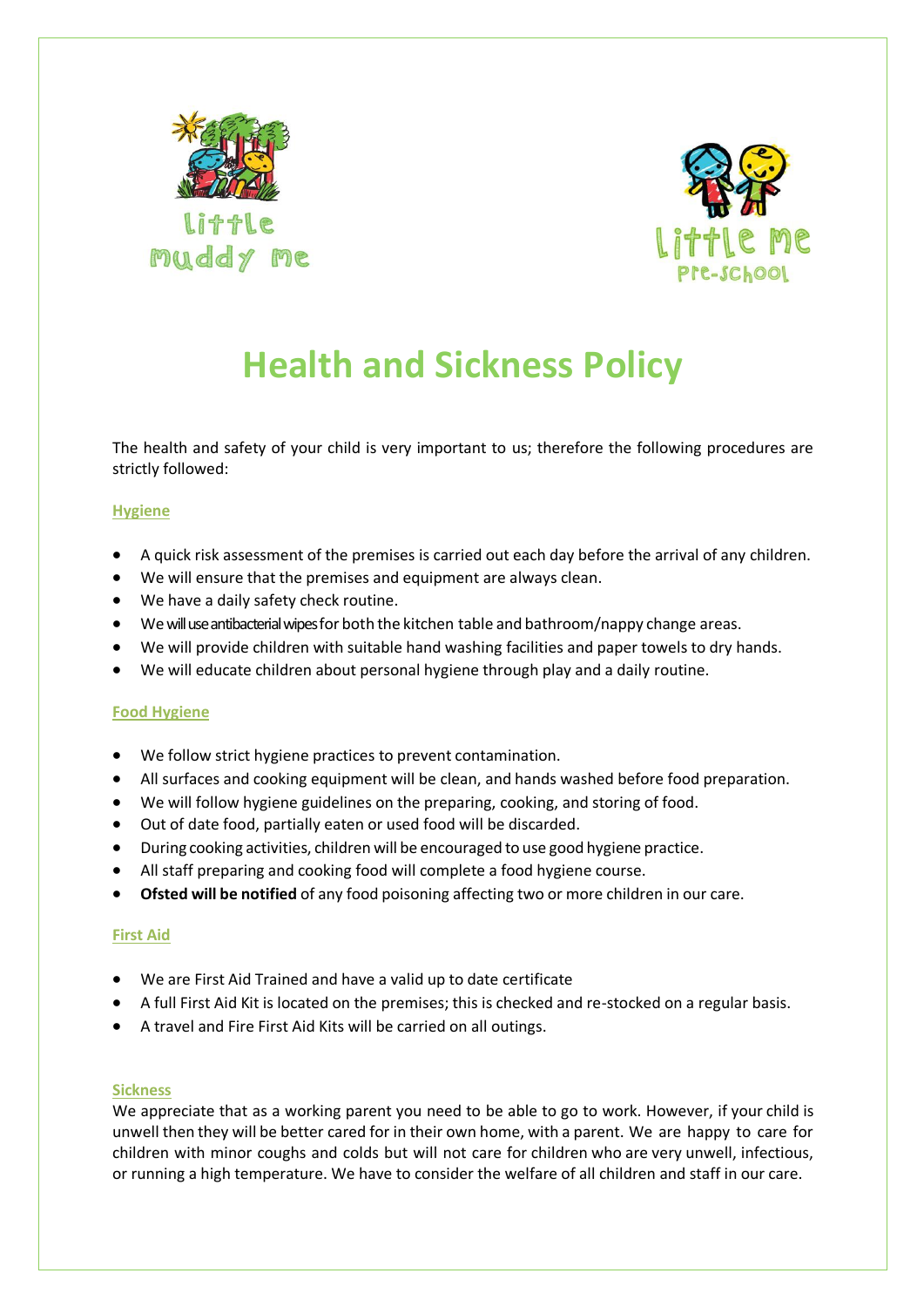



# **Health and Sickness Policy**

The health and safety of your child is very important to us; therefore the following procedures are strictly followed:

## **Hygiene**

- A quick risk assessment of the premises is carried out each day before the arrival of any children.
- We will ensure that the premises and equipment are always clean.
- We have a daily safety check routine.
- Wewill use antibacterial wipesfor both the kitchen table and bathroom/nappy change areas.
- We will provide children with suitable hand washing facilities and paper towels to dry hands.
- We will educate children about personal hygiene through play and a daily routine.

## **Food Hygiene**

- We follow strict hygiene practices to prevent contamination.
- All surfaces and cooking equipment will be clean, and hands washed before food preparation.
- We will follow hygiene guidelines on the preparing, cooking, and storing of food.
- Out of date food, partially eaten or used food will be discarded.
- During cooking activities, children will be encouraged to use good hygiene practice.
- All staff preparing and cooking food will complete a food hygiene course.
- **Ofsted will be notified** of any food poisoning affecting two or more children in our care.

## **First Aid**

- We are First Aid Trained and have a valid up to date certificate
- A full First Aid Kit is located on the premises; this is checked and re-stocked on a regular basis.
- A travel and Fire First Aid Kits will be carried on all outings.

## **Sickness**

We appreciate that as a working parent you need to be able to go to work. However, if your child is unwell then they will be better cared for in their own home, with a parent. We are happy to care for children with minor coughs and colds but will not care for children who are very unwell, infectious, or running a high temperature. We have to consider the welfare of all children and staff in our care.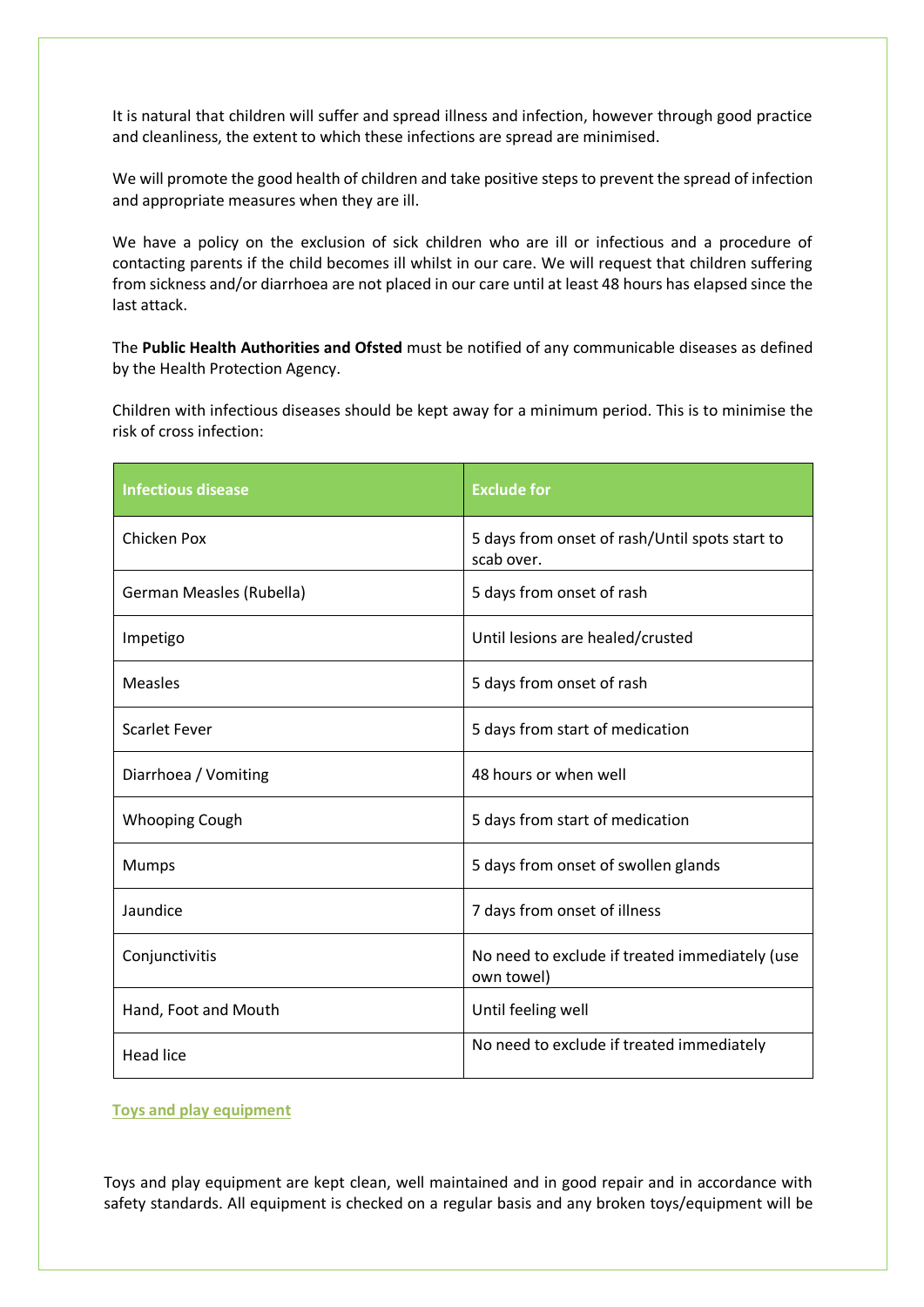It is natural that children will suffer and spread illness and infection, however through good practice and cleanliness, the extent to which these infections are spread are minimised.

We will promote the good health of children and take positive steps to prevent the spread of infection and appropriate measures when they are ill.

We have a policy on the exclusion of sick children who are ill or infectious and a procedure of contacting parents if the child becomes ill whilst in our care. We will request that children suffering from sickness and/or diarrhoea are not placed in our care until at least 48 hours has elapsed since the last attack.

The **Public Health Authorities and Ofsted** must be notified of any communicable diseases as defined by the Health Protection Agency.

Children with infectious diseases should be kept away for a minimum period. This is to minimise the risk of cross infection:

| <b>Infectious disease</b> | <b>Exclude for</b>                                           |
|---------------------------|--------------------------------------------------------------|
| Chicken Pox               | 5 days from onset of rash/Until spots start to<br>scab over. |
| German Measles (Rubella)  | 5 days from onset of rash                                    |
| Impetigo                  | Until lesions are healed/crusted                             |
| <b>Measles</b>            | 5 days from onset of rash                                    |
| <b>Scarlet Fever</b>      | 5 days from start of medication                              |
| Diarrhoea / Vomiting      | 48 hours or when well                                        |
| Whooping Cough            | 5 days from start of medication                              |
| <b>Mumps</b>              | 5 days from onset of swollen glands                          |
| Jaundice                  | 7 days from onset of illness                                 |
| Conjunctivitis            | No need to exclude if treated immediately (use<br>own towel) |
| Hand, Foot and Mouth      | Until feeling well                                           |
| <b>Head lice</b>          | No need to exclude if treated immediately                    |

**Toys and play equipment**

Toys and play equipment are kept clean, well maintained and in good repair and in accordance with safety standards. All equipment is checked on a regular basis and any broken toys/equipment will be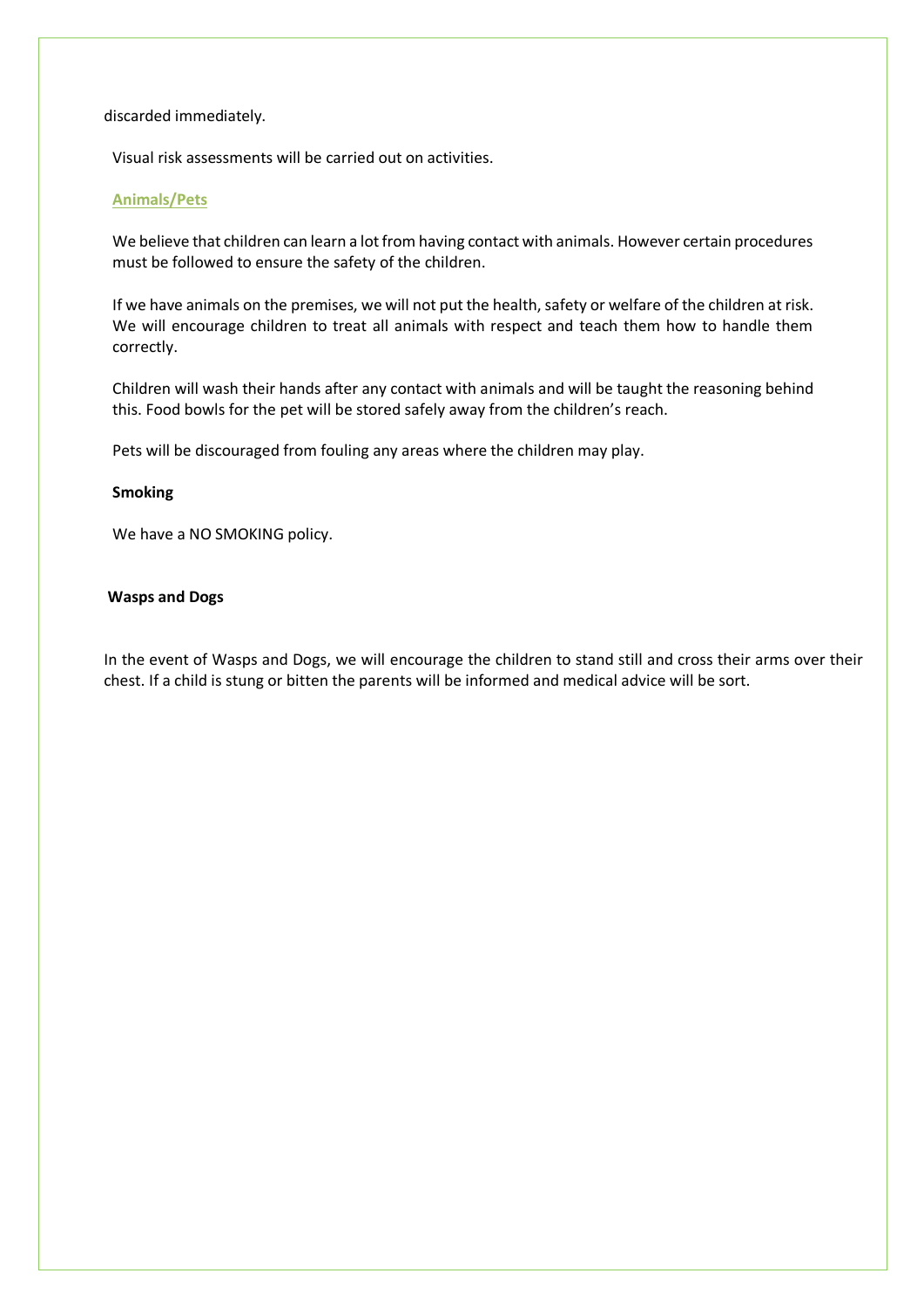### discarded immediately.

Visual risk assessments will be carried out on activities.

### **Animals/Pets**

We believe that children can learn a lot from having contact with animals. However certain procedures must be followed to ensure the safety of the children.

If we have animals on the premises, we will not put the health, safety or welfare of the children at risk. We will encourage children to treat all animals with respect and teach them how to handle them correctly.

Children will wash their hands after any contact with animals and will be taught the reasoning behind this. Food bowls for the pet will be stored safely away from the children's reach.

Pets will be discouraged from fouling any areas where the children may play.

#### **Smoking**

We have a NO SMOKING policy.

### **Wasps and Dogs**

In the event of Wasps and Dogs, we will encourage the children to stand still and cross their arms over their chest. If a child is stung or bitten the parents will be informed and medical advice will be sort.